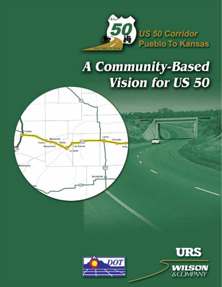

# **A Community-Based Vision for US 50**





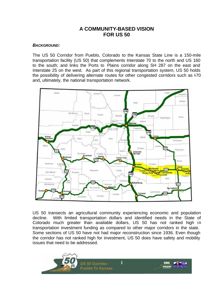# **A COMMUNITY-BASED VISION FOR US 50**

#### *BACKGROUND:*

The US 50 Corridor from Pueblo, Colorado to the Kansas State Line is a 150-mile transportation facility (US 50) that complements Interstate 70 to the north and US 160 to the south; and links the Ports to Plains corridor along SH 287 on the east and Interstate 25 on the west. As part of this regional transportation system, US 50 holds the possibility of delivering alternate routes for other congested corridors such as F70 and, ultimately, the national transportation network.



US 50 transects an agricultural community experiencing economic and population decline. With limited transportation dollars and identified needs in the State of Colorado much greater than available dollars, US 50 has not ranked high in transportation investment funding as compared to other major corridors in the state. Some sections of US 50 have not had major reconstruction since 1936. Even though the corridor has not ranked high for investment, US 50 does have safety and mobility issues that need to be addressed.

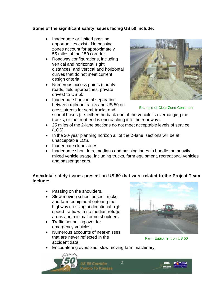# **Some of the significant safety issues facing US 50 include:**

- Inadequate or limited passing opportunities exist. No passing zones account for approximately 55 miles of the 150 corridor.
- Roadway configurations, including vertical and horizontal sight distances; and vertical and horizontal curves that do not meet current design criteria.
- Numerous access points (county roads, field approaches, private drives) to US 50.
- Inadequate horizontal separation between railroad tracks and US 50 on cross streets for semi-trucks and



Example of Clear Zone Constraint

school buses (i.e. either the back end of the vehicle is overhanging the tracks, or the front end is encroaching into the roadway).

- 25 miles of the 2-lane sections do not meet acceptable levels of service (LOS).
- In the 20-year planning horizon all of the 2-lane sections will be at unacceptable LOS.
- Inadequate clear zones.
- Inadequate shoulders, medians and passing lanes to handle the heavily mixed vehicle usage, including trucks, farm equipment, recreational vehicles and passenger cars.

# **Anecdotal safety issues present on US 50 that were related to the Project Team include:**

- Passing on the shoulders.
- Slow moving school buses, trucks, and farm equipment entering the highway crossing bi-directional high speed traffic with no median refuge areas and minimal or no shoulders.
- Traffic not pulling over for emergency vehicles.
- Numerous accounts of near-misses that are never reflected in the accident data.



Farm Equipment on US 50

• Encountering oversized, slow moving farm machinery.

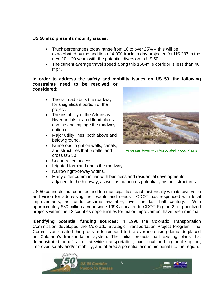# **US 50 also presents mobility issues:**

- Truck percentages today range from 16 to over 25% -- this will be exacerbated by the addition of 4,000 trucks a day projected for US 287 in the next 10 – 20 years with the potential diversion to US 50.
- The current average travel speed along this 150-mile corridor is less than 40 mph.

#### **In order to address the safety and mobility issues on US 50, the following constraints need to be resolved or considered:**

- The railroad abuts the roadway for a significant portion of the project.
- The instability of the Arkansas River and its related flood plains confine and impinge the roadway options.
- Major utility lines, both above and below ground.
- Numerous irrigation wells, canals, and structures that parallel and cross US 50.



Arkansas River with Associated Flood Plains

- Uncontrolled access.
- Irrigated farmland abuts the roadway.
- Narrow right-of-way widths.
- Many older communities with business and residential developments adjacent to the highway, as well as numerous potentially historic structures

US 50 connects four counties and ten municipalities, each historically with its own voice and vision for addressing their wants and needs. CDOT has responded with local improvements, as funds became available, over the last half century. With approximately \$30 million a year since 1998 allocated to CDOT Region 2 for prioritized projects within the 13 counties opportunities for major improvement have been minimal.

**Identifying potential funding sources:** In 1996 the Colorado Transportation Commission developed the Colorado Strategic Transportation Project Program. The Commission created this program to respond to the ever-increasing demands placed on Colorado's transportation system. The initial projects had existing plans that demonstrated benefits to statewide transportation; had local and regional support; improved safety and/or mobility; and offered a potential economic benefit to the region.

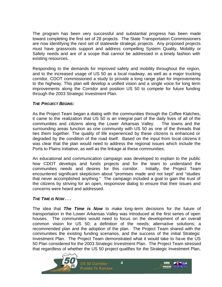The program has been very successful and substantial progress has been made toward completing the first set of 28 projects. The State Transportation Commissioners are now identifying the next set of statewide strategic projects. Any proposed projects must have grassroots support and address compelling System Quality, Mobility or Safety needs and are of a scope that cannot be addressed in a timely fashion with existing resources.

Responding to the demands for improved safety and mobility throughout the region, and to the increased usage of US 50 as a local roadway, as well as a major trucking corridor, CDOT commissioned a study to provide a long range plan for improvements to the highway. This plan will develop a unified vision and a single voice for long term improvements along the Corridor and position US 50 to compete for future funding through the 2003 Strategic Investment Plan.

#### *THE PROJECT BEGINS:*

As the Project Team began a dialog with the communities through the Coffee Klatches, it came to the realization that US 50 is an integral part of the daily lives of all of the communities and citizens along the Lower Arkansas Valley. The towns and the surrounding areas function as one community with US 50 as one of the threads that ties them together. The quality of life experienced by these citizens is enhanced or degraded by the condition of the road itself. Based on the input from local citizens it was clear that the plan would need to address the regional issues which include the Ports to Plains Initiative, as well as the linkage at these communities.

An educational and communication campaign was developed to explain to the public how CDOT develops and funds projects and for the team to understand the communities needs and desires for this corridor. Initially, the Project Team encountered significant skepticism about "promises made and not kept" and "studies that never accomplished anything." The campaign included a goal to gain the trust of the citizens by striving for an open, responsive dialog to ensure that their issues and concerns were heard and addressed.

# *THE TIME IS NOW . . .*

The idea that *The Time is Now* to make long-term decisions for the future of transportation in the Lower Arkansas Valley was introduced at the first series of open houses. The communities would need to focus on the development of an overall common vision for US 50; a definition of the needs; alternative solutions; a recommended plan and the adoption of the plan. The Project Team shared with the communities the existing funding scenarios, and the success of the initial Strategic Investment Plan. The Project Team demonstrated what it would take to have the US 50 Plan considered for the 2003 Strategic Investment Plan. The Project Team stressed that regardless of whether the US 50 project qualifies for the Strategic Investment Plan,

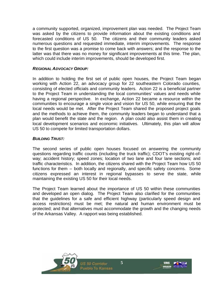a community supported, organized, improvement plan was needed. The Project Team was asked by the citizens to provide information about the existing conditions and forecasted conditions of US 50. The citizens and their community leaders asked numerous questions and requested immediate, interim improvements. The response to the first question was a promise to come back with answers; and the response to the latter was that there was no money for significant improvements at this time. The plan, which could include interim improvements, should be developed first.

## *REGIONAL ADVOCACY GROUP:*

In addition to holding the first set of public open houses, the Project Team began working with Action 22, an advocacy group for 22 southeastern Colorado counties, consisting of elected officials and community leaders. Action 22 is a beneficial partner to the Project Team in understanding the local communities' values and needs while having a regional perspective. In exchange, Action 22 became a resource within the communities to encourage a single voice and vision for US 50, while ensuring that the local needs would be met. After the Project Team shared the proposed project goals and the methods to achieve them, the community leaders began to understand that a plan would benefit the state and the region. A plan could also assist them in creating local development scenarios and economic initiatives. Ultimately, this plan will allow US 50 to compete for limited transportation dollars.

#### *BUILDING TRUST:*

The second series of public open houses focused on answering the community questions regarding traffic counts (including the truck traffic); CDOT's existing right-ofway; accident history; speed zones; location of two lane and four lane sections; and traffic characteristics. In addition, the citizens shared with the Project Team how US 50 functions for them – both locally and regionally, and specific safety concerns. Some citizens expressed an interest in regional bypasses to serve the state, while maintaining the existing US 50 for their local needs.

The Project Team learned about the importance of US 50 within these communities and developed an open dialog. The Project Team also clarified for the communities that the guidelines for a safe and efficient highway (particularly speed design and access restrictions) must be met; the natural and human environment must be protected; and that alternatives must accommodate the growth and the changing needs of the Arkansas Valley. A rapport was being established.



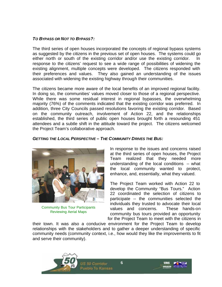## *TO BYPASS OR NOT TO BYPASS?:*

The third series of open houses incorporated the concepts of regional bypass systems as suggested by the citizens in the previous set of open houses. The systems could go either north or south of the existing corridor and/or use the existing corridor. response to the citizens' request to see a wide range of possibilities of widening the existing alignment, multiple concepts were developed. The citizens responded with their preferences and values. They also gained an understanding of the issues associated with widening the existing highway through their communities.

The citizens became more aware of the local benefits of an improved regional facility. In doing so, the communities' values moved closer to those of a regional perspective. While there was some residual interest in regional bypasses, the overwhelming majority (76%) of the comments indicated that the existing corridor was preferred. In addition, three City Councils passed resolutions favoring the existing corridor. Based on the community outreach, involvement of Action 22, and the relationships established, the third series of public open houses brought forth a resounding 451 attendees and a subtle shift in the attitude toward the project. The citizens welcomed the Project Team's collaborative approach.

#### *GETTING THE LOCAL PERSPECTIVE – THE COMMUNITY DRIVES THE BUS:*



Community Bus Tour Participants Reviewing Aerial Maps

In response to the issues and concerns raised at the third series of open houses, the Project Team realized that they needed more understanding of the local conditions -- what the local community wanted to protect, enhance, and, essentially, what they valued.

The Project Team worked with Action 22 to develop the Community "Bus Tours." Action 22 coordinated the selection of citizens to participate -- the communities selected the individuals they trusted to advocate their local values and concerns. These hands-on community bus tours provided an opportunity for the Project Team to meet with the citizens in

their town. It was also a conducive environment for the Project Team to develop relationships with the stakeholders and to gather a deeper understanding of specific community needs (community context, i.e., how would they like the improvements to fit and serve their community).

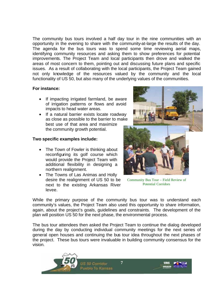The community bus tours involved a half day tour in the nine communities with an opportunity in the evening to share with the community-at-large the results of the day. The agenda for the bus tours was to spend some time reviewing aerial maps, identifying community resources and asking them to show preferences for potential improvements. The Project Team and local participants then drove and walked the areas of most concern to them, pointing out and discussing future plans and specific issues. As a result of collaborating with the local participants, the Project Team gained not only knowledge of the resources valued by the community and the local functionality of US 50, but also many of the underlying values of the communities.

# **For instance:**

- If impacting irrigated farmland, be aware of irrigation patterns or flows and avoid impacts to head water areas.
- If a natural barrier exists locate roadway as close as possible to the barrier to make best use of that area and maximize the community growth potential.

# **Two specific examples include:**

- The Town of Fowler is thinking about reconfiguring its golf course which would provide the Project Team with additional flexibility in designing a northern realignment.
- The Towns of Las Animas and Holly desire the realignment of US 50 to be next to the existing Arkansas River levee.



Community Bus Tour – Field Review of Potential Corridors

While the primary purpose of the community bus tour was to understand each community's values, the Project Team also used this opportunity to share information, again, about the project's goals, guidelines and constraints. The development of the plan will position US 50 for the next phase, the environmental process.

The bus tour attendees then asked the Project Team to continue the dialog developed during the day by conducting individual community meetings for the next series of general open houses and continuing the bus tour idea throughout the next phases of the project. These bus tours were invaluable in building community consensus for the vision.

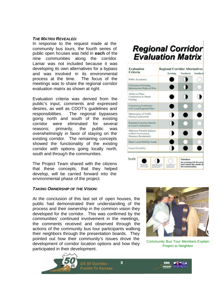#### *THE MATRIX REVEALED:*

In response to the request made at the community bus tours, the fourth series of public open houses was held in **each** of the nine communities along the corridor. Lamar was not included because it was developing its own alternatives for a bypass and was involved in its environmental process at the time. The focus of the meetings was to share the regional corridor evaluation matrix as shown at right.

Evaluation criteria was derived from the public's input, comments and expressed desires, as well as CDOT's guidelines and responsibilities. The regional bypasses going north and south of the existing corridor were eliminated for several reasons; primarily, the public was overwhelmingly in favor of staying on the existing corridor. The remaining concepts showed the functionality of the existing corridor with options going locally north, south and through the communities.

The Project Team shared with the citizens that these concepts, that they helped develop, will be carried forward into the environmental phase of the project.

#### *TAKING OWNERSHIP OF THE VISION:*

At the conclusion of this last set of open houses, the public had demonstrated their understanding of the process and their ownership in the common vision they developed for the corridor. This was confirmed by the communities' continued involvement in the meetings, the comments received and observed through the actions of the community bus tour participants walking their neighbors through the presentation boards. They pointed out how their community's issues drove the development of corridor location options and how they participated in their development.

**8**



# **Regional Corridor Evaluation Matrix**

| <b>Regional Corridor Alternatives</b><br>Existing | Northern | <b>Southern</b> |
|---------------------------------------------------|----------|-----------------|
| D                                                 |          |                 |
| D                                                 |          |                 |
| r                                                 |          |                 |
| ۰                                                 |          |                 |
| 0                                                 | ۸        |                 |
|                                                   |          |                 |
|                                                   |          |                 |
| 88                                                |          |                 |
|                                                   |          |                 |
|                                                   |          |                 |



Community Bus Tour Members Explain Project to Neighbor